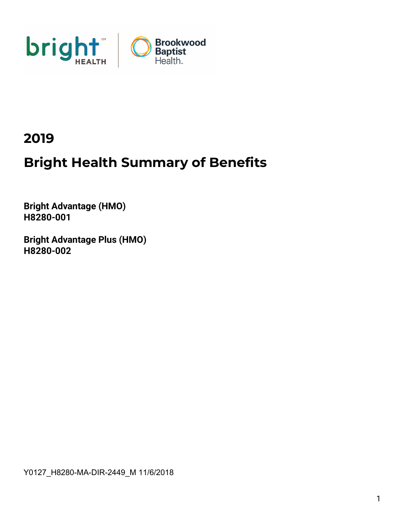

## 2019

# Bright Health Summary of Benefits

Bright Advantage (HMO) H8280-001

Bright Advantage Plus (HMO) H8280-002

Y0127\_H8280-MA-DIR-2449\_M 11/6/2018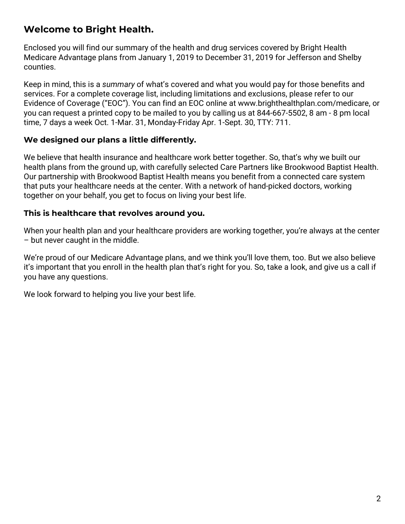### Welcome to Bright Health.

Enclosed you will find our summary of the health and drug services covered by Bright Health Medicare Advantage plans from January 1, 2019 to December 31, 2019 for Jefferson and Shelby counties.

Keep in mind, this is a summary of what's covered and what you would pay for those benefits and services. For a complete coverage list, including limitations and exclusions, please refer to our Evidence of Coverage ("EOC"). You can find an EOC online at www.brighthealthplan.com/medicare, or you can request a printed copy to be mailed to you by calling us at 844-667-5502, 8 am - 8 pm local time, 7 days a week Oct. 1-Mar. 31, Monday-Friday Apr. 1-Sept. 30, TTY: 711.

#### We designed our plans a little differently.

We believe that health insurance and healthcare work better together. So, that's why we built our health plans from the ground up, with carefully selected Care Partners like Brookwood Baptist Health. Our partnership with Brookwood Baptist Health means you benefit from a connected care system that puts your healthcare needs at the center. With a network of hand-picked doctors, working together on your behalf, you get to focus on living your best life.

#### This is healthcare that revolves around you.

When your health plan and your healthcare providers are working together, you're always at the center – but never caught in the middle.

We're proud of our Medicare Advantage plans, and we think you'll love them, too. But we also believe it's important that you enroll in the health plan that's right for you. So, take a look, and give us a call if you have any questions.

We look forward to helping you live your best life.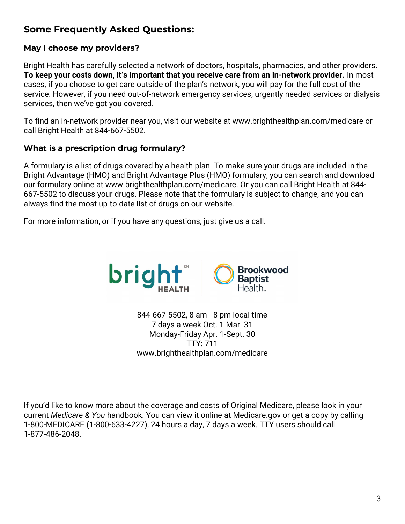## Some Frequently Asked Questions:

#### May I choose my providers?

Bright Health has carefully selected a network of doctors, hospitals, pharmacies, and other providers. To keep your costs down, it's important that you receive care from an in-network provider. In most cases, if you choose to get care outside of the plan's network, you will pay for the full cost of the service. However, if you need out-of-network emergency services, urgently needed services or dialysis services, then we've got you covered.

To find an in-network provider near you, visit our website at www.brighthealthplan.com/medicare or call Bright Health at 844-667-5502.

#### What is a prescription drug formulary?

A formulary is a list of drugs covered by a health plan. To make sure your drugs are included in the Bright Advantage (HMO) and Bright Advantage Plus (HMO) formulary, you can search and download our formulary online at www.brighthealthplan.com/medicare. Or you can call Bright Health at 844- 667-5502 to discuss your drugs. Please note that the formulary is subject to change, and you can always find the most up-to-date list of drugs on our website.

For more information, or if you have any questions, just give us a call.



844-667-5502, 8 am - 8 pm local time 7 days a week Oct. 1-Mar. 31 Monday-Friday Apr. 1-Sept. 30 TTY: 711 www.brighthealthplan.com/medicare

If you'd like to know more about the coverage and costs of Original Medicare, please look in your current Medicare & You handbook. You can view it online at Medicare.gov or get a copy by calling 1-800-MEDICARE (1-800-633-4227), 24 hours a day, 7 days a week. TTY users should call 1-877-486-2048.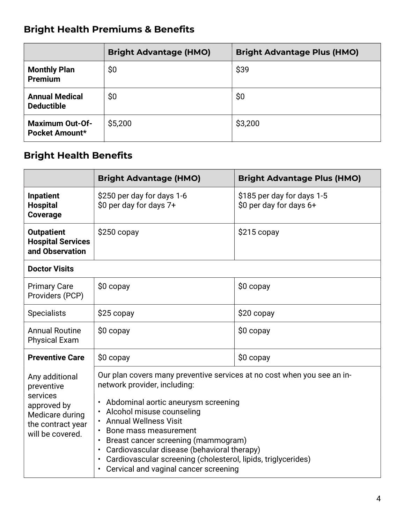## Bright Health Premiums & Benefits

|                                            | <b>Bright Advantage (HMO)</b> | <b>Bright Advantage Plus (HMO)</b> |
|--------------------------------------------|-------------------------------|------------------------------------|
| <b>Monthly Plan</b><br><b>Premium</b>      | \$0                           | \$39                               |
| <b>Annual Medical</b><br><b>Deductible</b> | \$0                           | \$0                                |
| <b>Maximum Out-Of-</b><br>Pocket Amount*   | \$5,200                       | \$3,200                            |

## Bright Health Benefits

|                                                                                                                     | <b>Bright Advantage (HMO)</b>                                                                                                                                                                                                                                                                                                                                                                                                                                                                         | <b>Bright Advantage Plus (HMO)</b>                    |
|---------------------------------------------------------------------------------------------------------------------|-------------------------------------------------------------------------------------------------------------------------------------------------------------------------------------------------------------------------------------------------------------------------------------------------------------------------------------------------------------------------------------------------------------------------------------------------------------------------------------------------------|-------------------------------------------------------|
| <b>Inpatient</b><br><b>Hospital</b><br><b>Coverage</b>                                                              | \$250 per day for days 1-6<br>\$0 per day for days 7+                                                                                                                                                                                                                                                                                                                                                                                                                                                 | \$185 per day for days 1-5<br>\$0 per day for days 6+ |
| <b>Outpatient</b><br><b>Hospital Services</b><br>and Observation                                                    | $$250$ copay                                                                                                                                                                                                                                                                                                                                                                                                                                                                                          | $$215$ copay                                          |
| <b>Doctor Visits</b>                                                                                                |                                                                                                                                                                                                                                                                                                                                                                                                                                                                                                       |                                                       |
| <b>Primary Care</b><br>Providers (PCP)                                                                              | $$0$ copay                                                                                                                                                                                                                                                                                                                                                                                                                                                                                            | $$0$ copay                                            |
| <b>Specialists</b>                                                                                                  | \$25 copay                                                                                                                                                                                                                                                                                                                                                                                                                                                                                            | \$20 copay                                            |
| <b>Annual Routine</b><br><b>Physical Exam</b>                                                                       | $$0$ copay                                                                                                                                                                                                                                                                                                                                                                                                                                                                                            | $$0$ copay                                            |
| <b>Preventive Care</b>                                                                                              | $$0$ copay                                                                                                                                                                                                                                                                                                                                                                                                                                                                                            | $$0$ copay                                            |
| Any additional<br>preventive<br>services<br>approved by<br>Medicare during<br>the contract year<br>will be covered. | Our plan covers many preventive services at no cost when you see an in-<br>network provider, including:<br>Abdominal aortic aneurysm screening<br>$\bullet$<br>Alcohol misuse counseling<br><b>Annual Wellness Visit</b><br>Bone mass measurement<br>Breast cancer screening (mammogram)<br>$\bullet$<br>Cardiovascular disease (behavioral therapy)<br>$\bullet$<br>Cardiovascular screening (cholesterol, lipids, triglycerides)<br>$\bullet$<br>Cervical and vaginal cancer screening<br>$\bullet$ |                                                       |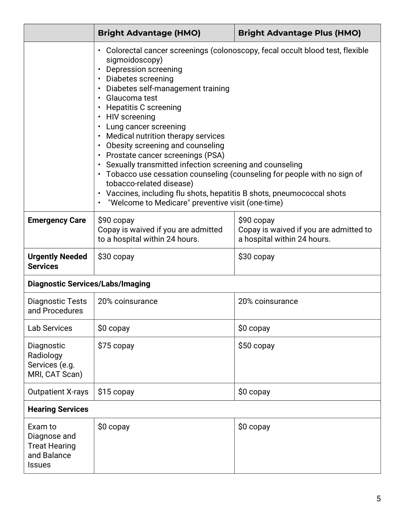|                                                                                 | <b>Bright Advantage (HMO)</b>                                                                                                                                                                                                                                                                                                                                                                                                                                                                                                                                                                                                  | <b>Bright Advantage Plus (HMO)</b>                                                   |  |
|---------------------------------------------------------------------------------|--------------------------------------------------------------------------------------------------------------------------------------------------------------------------------------------------------------------------------------------------------------------------------------------------------------------------------------------------------------------------------------------------------------------------------------------------------------------------------------------------------------------------------------------------------------------------------------------------------------------------------|--------------------------------------------------------------------------------------|--|
|                                                                                 | sigmoidoscopy)<br>• Depression screening<br>• Diabetes screening<br>• Diabetes self-management training<br>· Glaucoma test<br>• Hepatitis C screening<br>• HIV screening<br>• Lung cancer screening<br>• Medical nutrition therapy services<br>• Obesity screening and counseling<br>• Prostate cancer screenings (PSA)<br>• Sexually transmitted infection screening and counseling<br>• Tobacco use cessation counseling (counseling for people with no sign of<br>tobacco-related disease)<br>• Vaccines, including flu shots, hepatitis B shots, pneumococcal shots<br>• "Welcome to Medicare" preventive visit (one-time) | • Colorectal cancer screenings (colonoscopy, fecal occult blood test, flexible       |  |
| <b>Emergency Care</b>                                                           | $$90$ copay<br>Copay is waived if you are admitted<br>to a hospital within 24 hours.                                                                                                                                                                                                                                                                                                                                                                                                                                                                                                                                           | $$90$ copay<br>Copay is waived if you are admitted to<br>a hospital within 24 hours. |  |
| <b>Urgently Needed</b><br><b>Services</b>                                       | $$30$ copay                                                                                                                                                                                                                                                                                                                                                                                                                                                                                                                                                                                                                    | \$30 copay                                                                           |  |
| <b>Diagnostic Services/Labs/Imaging</b>                                         |                                                                                                                                                                                                                                                                                                                                                                                                                                                                                                                                                                                                                                |                                                                                      |  |
| Diagnostic Tests<br>and Procedures                                              | 20% coinsurance                                                                                                                                                                                                                                                                                                                                                                                                                                                                                                                                                                                                                | 20% coinsurance                                                                      |  |
| <b>Lab Services</b>                                                             | $$0$ copay                                                                                                                                                                                                                                                                                                                                                                                                                                                                                                                                                                                                                     | \$0 copay                                                                            |  |
| Diagnostic<br>Radiology<br>Services (e.g.<br>MRI, CAT Scan)                     | \$75 copay                                                                                                                                                                                                                                                                                                                                                                                                                                                                                                                                                                                                                     | \$50 copay                                                                           |  |
| <b>Outpatient X-rays</b>                                                        | \$0 copay<br>\$15 copay                                                                                                                                                                                                                                                                                                                                                                                                                                                                                                                                                                                                        |                                                                                      |  |
| <b>Hearing Services</b>                                                         |                                                                                                                                                                                                                                                                                                                                                                                                                                                                                                                                                                                                                                |                                                                                      |  |
| Exam to<br>Diagnose and<br><b>Treat Hearing</b><br>and Balance<br><b>Issues</b> | \$0 copay                                                                                                                                                                                                                                                                                                                                                                                                                                                                                                                                                                                                                      | $$0$ copay                                                                           |  |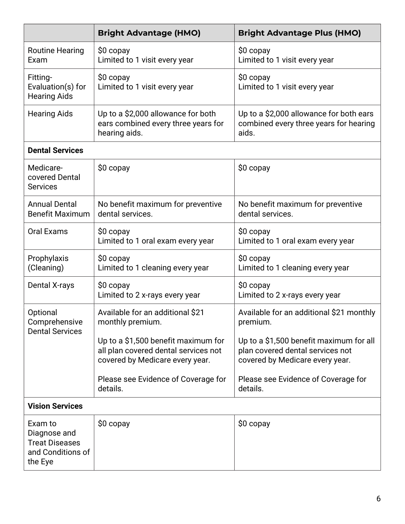|                                                                                  | <b>Bright Advantage (HMO)</b>                                                                                  | <b>Bright Advantage Plus (HMO)</b>                                                                             |  |
|----------------------------------------------------------------------------------|----------------------------------------------------------------------------------------------------------------|----------------------------------------------------------------------------------------------------------------|--|
| <b>Routine Hearing</b><br>Exam                                                   | $$0$ copay<br>Limited to 1 visit every year                                                                    | $$0$ copay<br>Limited to 1 visit every year                                                                    |  |
| Fitting-<br>Evaluation(s) for<br><b>Hearing Aids</b>                             | \$0 copay<br>Limited to 1 visit every year                                                                     | \$0 copay<br>Limited to 1 visit every year                                                                     |  |
| <b>Hearing Aids</b>                                                              | Up to a \$2,000 allowance for both<br>ears combined every three years for<br>hearing aids.                     | Up to a \$2,000 allowance for both ears<br>combined every three years for hearing<br>aids.                     |  |
| <b>Dental Services</b>                                                           |                                                                                                                |                                                                                                                |  |
| Medicare-<br>covered Dental<br><b>Services</b>                                   | \$0 copay                                                                                                      | $$0$ copay                                                                                                     |  |
| <b>Annual Dental</b><br><b>Benefit Maximum</b>                                   | No benefit maximum for preventive<br>No benefit maximum for preventive<br>dental services.<br>dental services. |                                                                                                                |  |
| <b>Oral Exams</b>                                                                | \$0 copay<br>Limited to 1 oral exam every year                                                                 | $$0$ copay<br>Limited to 1 oral exam every year                                                                |  |
| Prophylaxis<br>(Cleaning)                                                        | \$0 copay<br>Limited to 1 cleaning every year                                                                  | $$0$ copay<br>Limited to 1 cleaning every year                                                                 |  |
| Dental X-rays                                                                    | \$0 copay<br>Limited to 2 x-rays every year                                                                    | $$0$ copay<br>Limited to 2 x-rays every year                                                                   |  |
| Optional<br>Comprehensive<br><b>Dental Services</b>                              | Available for an additional \$21<br>monthly premium.                                                           | Available for an additional \$21 monthly<br>premium.                                                           |  |
|                                                                                  | Up to a \$1,500 benefit maximum for<br>all plan covered dental services not<br>covered by Medicare every year. | Up to a \$1,500 benefit maximum for all<br>plan covered dental services not<br>covered by Medicare every year. |  |
|                                                                                  | Please see Evidence of Coverage for<br>details.                                                                | Please see Evidence of Coverage for<br>details.                                                                |  |
| <b>Vision Services</b>                                                           |                                                                                                                |                                                                                                                |  |
| Exam to<br>Diagnose and<br><b>Treat Diseases</b><br>and Conditions of<br>the Eye | \$0 copay                                                                                                      | $$0$ copay                                                                                                     |  |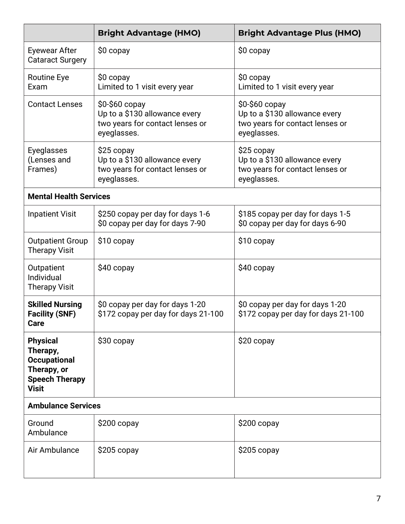|                                                                                                            | <b>Bright Advantage (HMO)</b>                                                                                                                                                                          | <b>Bright Advantage Plus (HMO)</b>                                                             |  |
|------------------------------------------------------------------------------------------------------------|--------------------------------------------------------------------------------------------------------------------------------------------------------------------------------------------------------|------------------------------------------------------------------------------------------------|--|
| Eyewear After<br><b>Cataract Surgery</b>                                                                   | $$0$ copay                                                                                                                                                                                             | $$0$ copay                                                                                     |  |
| <b>Routine Eye</b><br>Exam                                                                                 | \$0 copay<br>Limited to 1 visit every year                                                                                                                                                             | \$0 copay<br>Limited to 1 visit every year                                                     |  |
| <b>Contact Lenses</b>                                                                                      | $$0-$60$ copay<br>\$0-\$60 copay<br>Up to a \$130 allowance every<br>Up to a \$130 allowance every<br>two years for contact lenses or<br>two years for contact lenses or<br>eyeglasses.<br>eyeglasses. |                                                                                                |  |
| Eyeglasses<br>(Lenses and<br>Frames)                                                                       | \$25 copay<br>Up to a \$130 allowance every<br>two years for contact lenses or<br>eyeglasses.                                                                                                          | $$25$ copay<br>Up to a \$130 allowance every<br>two years for contact lenses or<br>eyeglasses. |  |
| <b>Mental Health Services</b>                                                                              |                                                                                                                                                                                                        |                                                                                                |  |
| <b>Inpatient Visit</b>                                                                                     | \$250 copay per day for days 1-6<br>\$0 copay per day for days 7-90                                                                                                                                    | \$185 copay per day for days 1-5<br>\$0 copay per day for days 6-90                            |  |
| <b>Outpatient Group</b><br><b>Therapy Visit</b>                                                            | \$10 copay                                                                                                                                                                                             | \$10 copay                                                                                     |  |
| Outpatient<br>Individual<br><b>Therapy Visit</b>                                                           | $$40$ copay                                                                                                                                                                                            | $$40$ copay                                                                                    |  |
| <b>Skilled Nursing</b><br><b>Facility (SNF)</b><br>Care                                                    | \$0 copay per day for days 1-20<br>\$172 copay per day for days 21-100                                                                                                                                 | \$0 copay per day for days 1-20<br>\$172 copay per day for days 21-100                         |  |
| <b>Physical</b><br>Therapy,<br><b>Occupational</b><br>Therapy, or<br><b>Speech Therapy</b><br><b>Visit</b> | \$30 copay                                                                                                                                                                                             | \$20 copay                                                                                     |  |
| <b>Ambulance Services</b>                                                                                  |                                                                                                                                                                                                        |                                                                                                |  |
| Ground<br>Ambulance                                                                                        | \$200 copay                                                                                                                                                                                            | \$200 copay                                                                                    |  |
| Air Ambulance                                                                                              | $$205$ copay                                                                                                                                                                                           | $$205$ copay                                                                                   |  |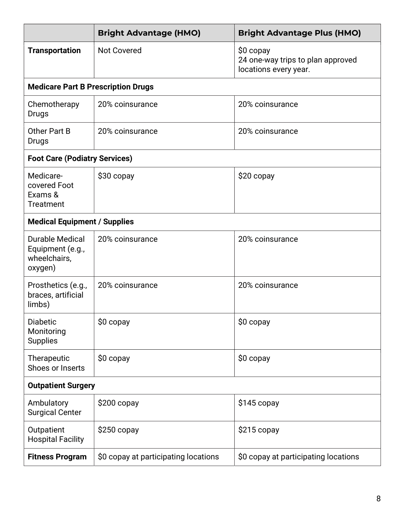|                                                                       | <b>Bright Advantage (HMO)</b>        | <b>Bright Advantage Plus (HMO)</b>                                      |  |
|-----------------------------------------------------------------------|--------------------------------------|-------------------------------------------------------------------------|--|
| <b>Transportation</b>                                                 | <b>Not Covered</b>                   | \$0 copay<br>24 one-way trips to plan approved<br>locations every year. |  |
| <b>Medicare Part B Prescription Drugs</b>                             |                                      |                                                                         |  |
| Chemotherapy<br>Drugs                                                 | 20% coinsurance                      | 20% coinsurance                                                         |  |
| Other Part B<br>Drugs                                                 | 20% coinsurance                      | 20% coinsurance                                                         |  |
| <b>Foot Care (Podiatry Services)</b>                                  |                                      |                                                                         |  |
| Medicare-<br>covered Foot<br>Exams &<br><b>Treatment</b>              | \$30 copay<br>\$20 copay             |                                                                         |  |
| <b>Medical Equipment / Supplies</b>                                   |                                      |                                                                         |  |
| <b>Durable Medical</b><br>Equipment (e.g.,<br>wheelchairs,<br>oxygen) | 20% coinsurance                      | 20% coinsurance                                                         |  |
| Prosthetics (e.g.,<br>braces, artificial<br>limbs)                    | 20% coinsurance                      | 20% coinsurance                                                         |  |
| Diabetic<br>Monitoring<br><b>Supplies</b>                             | \$0 copay                            | \$0 copay                                                               |  |
| Therapeutic<br>Shoes or Inserts                                       | $$0$ copay                           | $$0$ copay                                                              |  |
| <b>Outpatient Surgery</b>                                             |                                      |                                                                         |  |
| Ambulatory<br><b>Surgical Center</b>                                  | $$200$ copay                         | $$145$ copay                                                            |  |
| Outpatient<br><b>Hospital Facility</b>                                | $$250$ copay                         | \$215 copay                                                             |  |
| <b>Fitness Program</b>                                                | \$0 copay at participating locations | \$0 copay at participating locations                                    |  |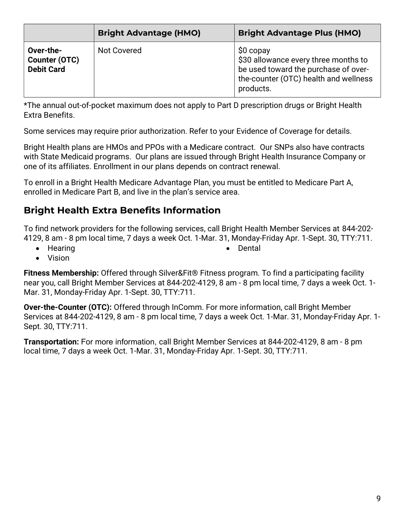|                                                 | <b>Bright Advantage (HMO)</b> | <b>Bright Advantage Plus (HMO)</b>                                                                                                               |
|-------------------------------------------------|-------------------------------|--------------------------------------------------------------------------------------------------------------------------------------------------|
| Over-the-<br>Counter (OTC)<br><b>Debit Card</b> | Not Covered                   | $$0$ copay<br>\$30 allowance every three months to<br>be used toward the purchase of over-<br>the-counter (OTC) health and wellness<br>products. |

\*The annual out-of-pocket maximum does not apply to Part D prescription drugs or Bright Health Extra Benefits.

Some services may require prior authorization. Refer to your Evidence of Coverage for details.

Bright Health plans are HMOs and PPOs with a Medicare contract. Our SNPs also have contracts with State Medicaid programs. Our plans are issued through Bright Health Insurance Company or one of its affiliates. Enrollment in our plans depends on contract renewal.

To enroll in a Bright Health Medicare Advantage Plan, you must be entitled to Medicare Part A, enrolled in Medicare Part B, and live in the plan's service area.

## Bright Health Extra Benefits Information

To find network providers for the following services, call Bright Health Member Services at 844-202- 4129, 8 am - 8 pm local time, 7 days a week Oct. 1-Mar. 31, Monday-Friday Apr. 1-Sept. 30, TTY:711.

• Hearing

• Dental

Vision

Fitness Membership: Offered through Silver&Fit® Fitness program. To find a participating facility near you, call Bright Member Services at 844-202-4129, 8 am - 8 pm local time, 7 days a week Oct. 1- Mar. 31, Monday-Friday Apr. 1-Sept. 30, TTY:711.

Over-the-Counter (OTC): Offered through InComm. For more information, call Bright Member Services at 844-202-4129, 8 am - 8 pm local time, 7 days a week Oct. 1-Mar. 31, Monday-Friday Apr. 1- Sept. 30, TTY:711.

Transportation: For more information, call Bright Member Services at 844-202-4129, 8 am - 8 pm local time, 7 days a week Oct. 1-Mar. 31, Monday-Friday Apr. 1-Sept. 30, TTY:711.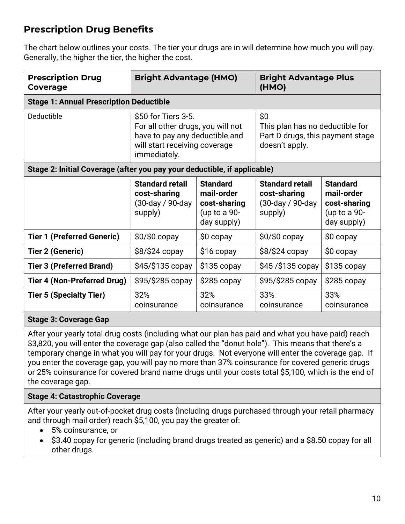## Prescription Drug Benefits

The chart below outlines your costs. The tier your drugs are in will determine how much you will pay. Generally, the higher the tier, the higher the cost.

| <b>Prescription Drug</b><br>Coverage                                     | <b>Bright Advantage (HMO)</b>                                                                                                               |                                                                                | <b>Bright Advantage Plus</b><br>(HMO)                                                        |                                                                                |
|--------------------------------------------------------------------------|---------------------------------------------------------------------------------------------------------------------------------------------|--------------------------------------------------------------------------------|----------------------------------------------------------------------------------------------|--------------------------------------------------------------------------------|
|                                                                          | <b>Stage 1: Annual Prescription Deductible</b>                                                                                              |                                                                                |                                                                                              |                                                                                |
| Deductible                                                               | \$50 for Tiers 3-5.<br>For all other drugs, you will not<br>have to pay any deductible and<br>will start receiving coverage<br>immediately. |                                                                                | \$0<br>This plan has no deductible for<br>Part D drugs, this payment stage<br>doesn't apply. |                                                                                |
| Stage 2: Initial Coverage (after you pay your deductible, if applicable) |                                                                                                                                             |                                                                                |                                                                                              |                                                                                |
|                                                                          | <b>Standard retail</b><br>cost-sharing<br>(30-day / 90-day<br>supply)                                                                       | <b>Standard</b><br>mail-order<br>cost-sharing<br>(up to a $90-$<br>day supply) | <b>Standard retail</b><br>cost-sharing<br>(30-day / 90-day<br>supply)                        | <b>Standard</b><br>mail-order<br>cost-sharing<br>(up to a $90-$<br>day supply) |
| <b>Tier 1 (Preferred Generic)</b>                                        | $$0$ / $$0$ copay                                                                                                                           | $$0$ copay                                                                     | $$0/\$0$ copay                                                                               | $$0$ copay                                                                     |
| <b>Tier 2 (Generic)</b>                                                  | \$8/\$24 copy                                                                                                                               | $$16$ copay                                                                    | \$8/\$24 copy                                                                                | $$0$ copay                                                                     |
| <b>Tier 3 (Preferred Brand)</b>                                          | $$45/\$135$ copay                                                                                                                           | $$135$ copay                                                                   | $$45/$135$ copay                                                                             | $$135$ copay                                                                   |
| <b>Tier 4 (Non-Preferred Drug)</b>                                       | $$95/\$285$ copay                                                                                                                           | $$285$ copay                                                                   | \$95/\$285 copay                                                                             | $$285$ copay                                                                   |
| <b>Tier 5 (Specialty Tier)</b>                                           | 32%<br>coinsurance                                                                                                                          | 32%<br>coinsurance                                                             | 33%<br>coinsurance                                                                           | 33%<br>coinsurance                                                             |

#### Stage 3: Coverage Gap

After your yearly total drug costs (including what our plan has paid and what you have paid) reach \$3,820, you will enter the coverage gap (also called the "donut hole"). This means that there's a temporary change in what you will pay for your drugs. Not everyone will enter the coverage gap. If you enter the coverage gap, you will pay no more than 37% coinsurance for covered generic drugs or 25% coinsurance for covered brand name drugs until your costs total \$5,100, which is the end of the coverage gap.

#### Stage 4: Catastrophic Coverage

After your yearly out-of-pocket drug costs (including drugs purchased through your retail pharmacy and through mail order) reach \$5,100, you pay the greater of:

- 5% coinsurance, or
- \$3.40 copay for generic (including brand drugs treated as generic) and a \$8.50 copay for all other drugs.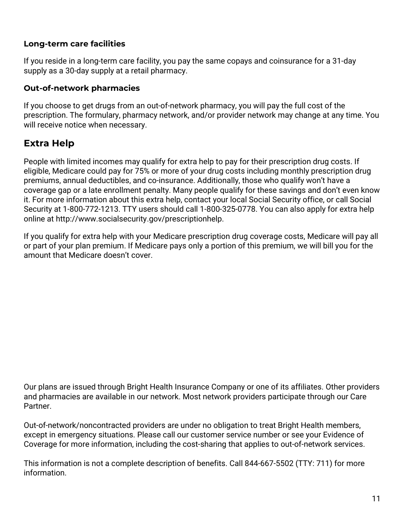#### Long-term care facilities

If you reside in a long-term care facility, you pay the same copays and coinsurance for a 31-day supply as a 30-day supply at a retail pharmacy.

#### Out-of-network pharmacies

If you choose to get drugs from an out-of-network pharmacy, you will pay the full cost of the prescription. The formulary, pharmacy network, and/or provider network may change at any time. You will receive notice when necessary.

## Extra Help

People with limited incomes may qualify for extra help to pay for their prescription drug costs. If eligible, Medicare could pay for 75% or more of your drug costs including monthly prescription drug premiums, annual deductibles, and co-insurance. Additionally, those who qualify won't have a coverage gap or a late enrollment penalty. Many people qualify for these savings and don't even know it. For more information about this extra help, contact your local Social Security office, or call Social Security at 1-800-772-1213. TTY users should call 1-800-325-0778. You can also apply for extra help online at http://www.socialsecurity.gov/prescriptionhelp.

If you qualify for extra help with your Medicare prescription drug coverage costs, Medicare will pay all or part of your plan premium. If Medicare pays only a portion of this premium, we will bill you for the amount that Medicare doesn't cover.

Our plans are issued through Bright Health Insurance Company or one of its affiliates. Other providers and pharmacies are available in our network. Most network providers participate through our Care Partner.

Out-of-network/noncontracted providers are under no obligation to treat Bright Health members, except in emergency situations. Please call our customer service number or see your Evidence of Coverage for more information, including the cost-sharing that applies to out-of-network services.

This information is not a complete description of benefits. Call 844-667-5502 (TTY: 711) for more information.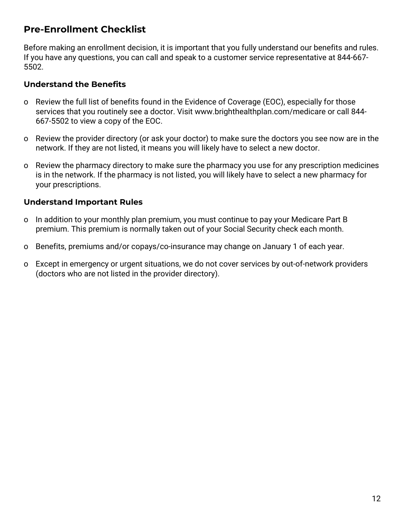### Pre-Enrollment Checklist

Before making an enrollment decision, it is important that you fully understand our benefits and rules. If you have any questions, you can call and speak to a customer service representative at 844-667- 5502.

#### Understand the Benefits

- o Review the full list of benefits found in the Evidence of Coverage (EOC), especially for those services that you routinely see a doctor. Visit www.brighthealthplan.com/medicare or call 844- 667-5502 to view a copy of the EOC.
- o Review the provider directory (or ask your doctor) to make sure the doctors you see now are in the network. If they are not listed, it means you will likely have to select a new doctor.
- o Review the pharmacy directory to make sure the pharmacy you use for any prescription medicines is in the network. If the pharmacy is not listed, you will likely have to select a new pharmacy for your prescriptions.

#### Understand Important Rules

- o In addition to your monthly plan premium, you must continue to pay your Medicare Part B premium. This premium is normally taken out of your Social Security check each month.
- o Benefits, premiums and/or copays/co-insurance may change on January 1 of each year.
- o Except in emergency or urgent situations, we do not cover services by out-of-network providers (doctors who are not listed in the provider directory).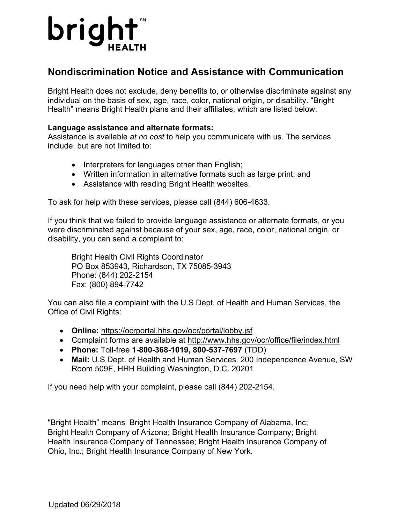

### **Nondiscrimination Notice and Assistance with Communication**

Bright Health does not exclude, deny benefits to, or otherwise discriminate against any individual on the basis of sex, age, race, color, national origin, or disability. "Bright Health" means Bright Health plans and their affiliates, which are listed below.

#### **Language assistance and alternate formats:**

Assistance is available *at no cost* to help you communicate with us. The services include, but are not limited to:

- Interpreters for languages other than English;
- Written information in alternative formats such as large print; and
- Assistance with reading Bright Health websites.

To ask for help with these services, please call (844) 606-4633.

If you think that we failed to provide language assistance or alternate formats, or you were discriminated against because of your sex, age, race, color, national origin, or disability, you can send a complaint to:

Bright Health Civil Rights Coordinator PO Box 853943, Richardson, TX 75085-3943 Phone: (844) 202-2154 Fax: (800) 894-7742

You can also file a complaint with the U.S Dept. of Health and Human Services, the Office of Civil Rights:

- **Online:** https://ocrportal.hhs.gov/ocr/portal/lobby.jsf
- Complaint forms are available at http://www.hhs.gov/ocr/office/file/index.html
- **Phone:** Toll-free **1-800-368-1019, 800-537-7697** (TDD)
- **Mail:** U.S Dept. of Health and Human Services. 200 Independence Avenue, SW Room 509F, HHH Building Washington, D.C. 20201

If you need help with your complaint, please call (844) 202-2154.

"Bright Health" means Bright Health Insurance Company of Alabama, Inc; Bright Health Company of Arizona; Bright Health Insurance Company; Bright Health Insurance Company of Tennessee; Bright Health Insurance Company of Ohio, Inc.; Bright Health Insurance Company of New York.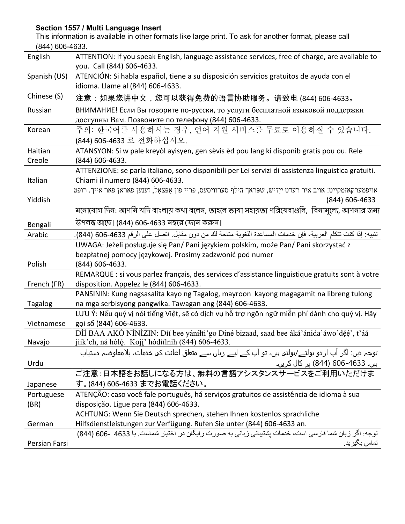#### **Section 1557 / Multi Language Insert**

This information is available in other formats like large print. To ask for another format, please call (844) 606-4633.

| English        | ATTENTION: If you speak English, language assistance services, free of charge, are available to<br>you. Call (844) 606-4633.                                                      |
|----------------|-----------------------------------------------------------------------------------------------------------------------------------------------------------------------------------|
| Spanish (US)   | ATENCIÓN: Si habla español, tiene a su disposición servicios gratuitos de ayuda con el<br>idioma. Llame al (844) 606-4633.                                                        |
| Chinese (S)    | 注意:如果您讲中文,您可以获得免费的语言协助服务。请致电 (844) 606-4633。                                                                                                                                      |
| Russian        | ВНИМАНИЕ! Если Вы говорите по-русски, то услуги бесплатной языковой поддержки<br>доступны Вам. Позвоните по телефону (844) 606-4633.                                              |
| Korean         | 주의: 한국어를 사용하시는 경우, 언어 지원 서비스를 무료로 이용하실 수 있습니다.<br>(844) 606-4633 로 전화하십시오.                                                                                                        |
| Haitian        | ATANSYON: Si w pale kreyòl ayisyen, gen sèvis èd pou lang ki disponib gratis pou ou. Rele                                                                                         |
| Creole         | (844) 606-4633.                                                                                                                                                                   |
| Italian        | ATTENZIONE: se parla italiano, sono disponibili per Lei servizi di assistenza linguistica gratuiti.<br>Chiami il numero (844) 606-4633.                                           |
|                | אויפמערקאזמקייט: אויב איר רעדט ייִדיש, שפּראך הילף סערוויסעס, פריי פון אָפּצאַל, זענען פאראן פאר אייך. רופט                                                                       |
| Yiddish        | (844) 606-4633                                                                                                                                                                    |
|                | মনোযোগ দিন: আপনি যদি বাংলায় কথা বলেন, তাহলে ভাষা সহায়তা পরিষেবাগুলি, বিনামূল্যে, আপনার জন্য                                                                                     |
| Bengali        | উপলব্ধ আছে। (844) 606-4633 নম্বরে ফোন করুন।                                                                                                                                       |
| Arabic         | تنبيه: إذا كنت تتكلم العربية، فإن خدمات المساعدة اللغوية متاحة لك من دون مقابل. اتصل على الرقم 4633-606 (844).                                                                    |
|                | UWAGA: Jeżeli posługuje się Pan/ Pani językiem polskim, może Pan/ Pani skorzystać z                                                                                               |
|                | bezpłatnej pomocy językowej. Prosimy zadzwonić pod numer                                                                                                                          |
| Polish         | (844) 606-4633.                                                                                                                                                                   |
| French (FR)    | REMARQUE : si vous parlez français, des services d'assistance linguistique gratuits sont à votre<br>disposition. Appelez le (844) 606-4633.                                       |
|                | PANSININ: Kung nagsasalita kayo ng Tagalog, mayroon kayong magagamit na libreng tulong                                                                                            |
| <b>Tagalog</b> | na mga serbisyong pangwika. Tawagan ang (844) 606-4633.                                                                                                                           |
| Vietnamese     | LƯU Ý: Nếu quý vị nói tiếng Việt, sẽ có dịch vụ hỗ trợ ngôn ngữ miễn phí dành cho quý vị. Hãy<br>gọi số (844) 606-4633.                                                           |
|                | DÍÍ BAA AKÓ NÍNÍZIN: Díí bee yánílti'go Diné bizaad, saad bee áká'ánida'áwo'déé', t'áá                                                                                            |
| Navajo         | jiik'eh, ná hóló. Koji' hódíilnih (844) 606-4633.                                                                                                                                 |
|                | توجہ دیں: اگر آپ اردو بولتے/بولتی ہیں، تو آپ کے لیے زبان سے متعلق اعانت کی خدمات، بلامعاوضہ دستیاب                                                                                |
| Urdu           | <u>ہیں۔ 4633-606 (844) پر</u> کال کریں۔                                                                                                                                           |
|                | ご注意:日本語をお話しになる方は、無料の言語アシスタンスサービスをご利用いただけま                                                                                                                                         |
| Japanese       | す。(844) 606-4633 までお電話ください。                                                                                                                                                       |
| Portuguese     | ATENÇÃO: caso você fale português, há serviços gratuitos de assistência de idioma à sua                                                                                           |
| (BR)           | disposição. Ligue para (844) 606-4633.                                                                                                                                            |
|                | ACHTUNG: Wenn Sie Deutsch sprechen, stehen Ihnen kostenlos sprachliche                                                                                                            |
| German         | Hilfsdienstleistungen zur Verfügung. Rufen Sie unter (844) 606-4633 an.<br>توجه: اگر زبان شما فارسی است، خدمات بِشتيبانی زبانی به صورت رايگان در اختيار شماست. با 4633 -606 (844) |
|                | تماس بگير يد.                                                                                                                                                                     |
| Persian Farsi  |                                                                                                                                                                                   |